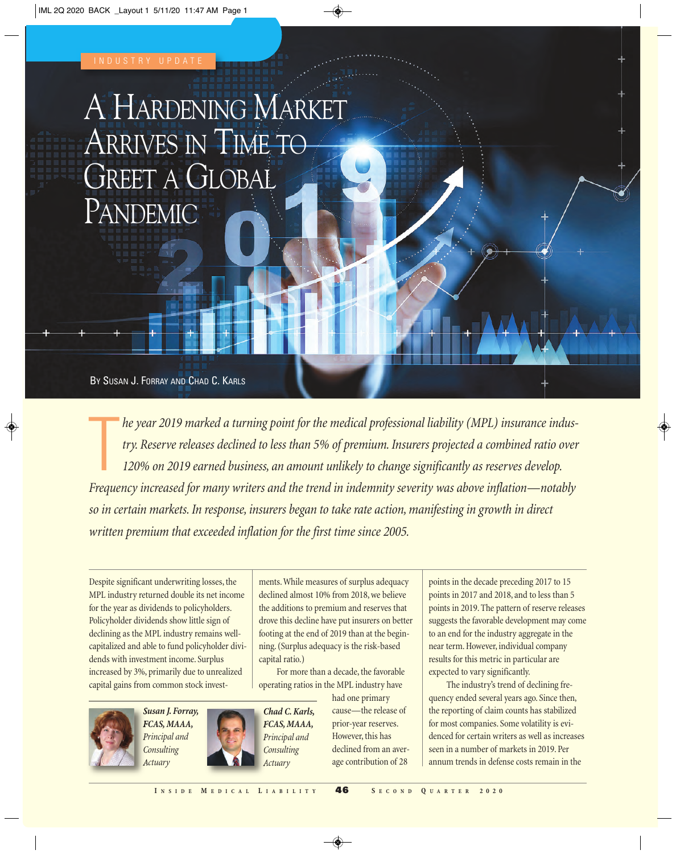# A HARDENING MARKET ARRIVES IN TIME TO GREET A GLOBAL PANDEMIC

BY SUSAN J. FORRAY AND CHAD C. KARLS

T *he year 2019 marked a turning point for the medical professional liability (MPL) insurance industry. Reserve releases declined to less than 5% of premium. Insurers projected a combined ratio over 120% on 2019 earned business, an amount unlikely to change significantly as reserves develop. Frequency increased for many writers and the trend in indemnity severity was above inflation—notably so in certain markets. In response, insurers began to take rate action, manifesting in growth in direct written premium that exceeded inflation for the first time since 2005.* 

Despite significant underwriting losses, the MPL industry returned double its net income for the year as dividends to policyholders. Policyholder dividends show little sign of declining as the MPL industry remains wellcapitalized and able to fund policyholder dividends with investment income. Surplus increased by 3%, primarily due to unrealized capital gains from common stock invest-



For more than a decade, the favorable operating ratios in the MPL industry have



*Susan J. Forray, FCAS, MAAA, Principal and Consulting Actuary*



*Chad C. Karls, FCAS, MAAA, Principal and Consulting Actuary*

had one primary cause—the release of prior-year reserves. However, this has declined from an average contribution of 28

points in the decade preceding 2017 to 15 points in 2017 and 2018, and to less than 5 points in 2019. The pattern of reserve releases suggests the favorable development may come to an end for the industry aggregate in the near term. However, individual company results for this metric in particular are expected to vary significantly.

The industry's trend of declining frequency ended several years ago. Since then, the reporting of claim counts has stabilized for most companies. Some volatility is evidenced for certain writers as well as increases seen in a number of markets in 2019. Per annum trends in defense costs remain in the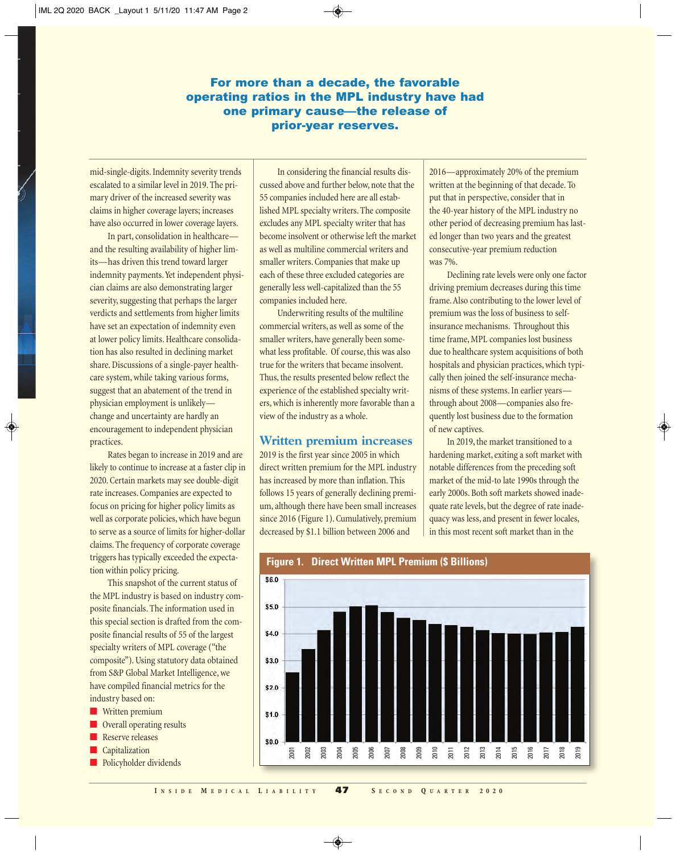## For more than a decade, the favorable operating ratios in the MPL industry have had one primary cause—the release of prior-year reserves.

mid-single-digits. Indemnity severity trends escalated to a similar level in 2019. The primary driver of the increased severity was claims in higher coverage layers; increases have also occurred in lower coverage layers.

In part, consolidation in healthcare and the resulting availability of higher limits—has driven this trend toward larger indemnity payments. Yet independent physician claims are also demonstrating larger severity, suggesting that perhaps the larger verdicts and settlements from higher limits have set an expectation of indemnity even at lower policy limits. Healthcare consolidation has also resulted in declining market share. Discussions of a single-payer healthcare system, while taking various forms, suggest that an abatement of the trend in physician employment is unlikely change and uncertainty are hardly an encouragement to independent physician practices.

Rates began to increase in 2019 and are likely to continue to increase at a faster clip in 2020. Certain markets may see double-digit rate increases. Companies are expected to focus on pricing for higher policy limits as well as corporate policies, which have begun to serve as a source of limits for higher-dollar claims. The frequency of corporate coverage triggers has typically exceeded the expectation within policy pricing.

This snapshot of the current status of the MPL industry is based on industry composite financials. The information used in this special section is drafted from the composite financial results of 55 of the largest specialty writers of MPL coverage ("the composite"). Using statutory data obtained from S&P Global Market Intelligence, we have compiled financial metrics for the industry based on:

- Written premium
- Overall operating results
- Reserve releases
- Capitalization
- Policyholder dividends

In considering the financial results discussed above and further below, note that the 55 companies included here are all established MPL specialty writers. The composite excludes any MPL specialty writer that has become insolvent or otherwise left the market as well as multiline commercial writers and smaller writers. Companies that make up each of these three excluded categories are generally less well-capitalized than the 55 companies included here.

Underwriting results of the multiline commercial writers, as well as some of the smaller writers, have generally been somewhat less profitable. Of course, this was also true for the writers that became insolvent. Thus, the results presented below reflect the experience of the established specialty writers, which is inherently more favorable than a view of the industry as a whole.

#### **Written premium increases**

2019 is the first year since 2005 in which direct written premium for the MPL industry has increased by more than inflation. This follows 15 years of generally declining premium, although there have been small increases since 2016 (Figure 1). Cumulatively, premium decreased by \$1.1 billion between 2006 and

2016—approximately 20% of the premium written at the beginning of that decade. To put that in perspective, consider that in the 40-year history of the MPL industry no other period of decreasing premium has lasted longer than two years and the greatest consecutive-year premium reduction was 7%.

Declining rate levels were only one factor driving premium decreases during this time frame. Also contributing to the lower level of premium was the loss of business to selfinsurance mechanisms. Throughout this time frame, MPL companies lost business due to healthcare system acquisitions of both hospitals and physician practices, which typically then joined the self-insurance mechanisms of these systems. In earlier years through about 2008—companies also frequently lost business due to the formation of new captives.

In 2019, the market transitioned to a hardening market, exiting a soft market with notable differences from the preceding soft market of the mid-to late 1990s through the early 2000s. Both soft markets showed inadequate rate levels, but the degree of rate inadequacy was less, and present in fewer locales, in this most recent soft market than in the



**Figure 1. Direct Written MPL Premium (\$ Billions)**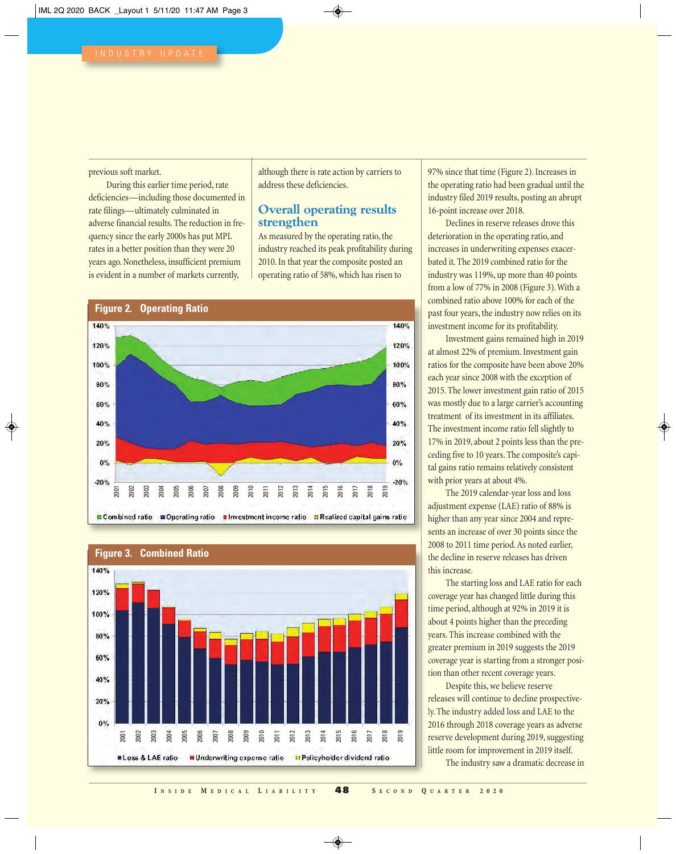previous soft market.

During this earlier time period, rate deficiencies—including those documented in rate filings—ultimately culminated in adverse financial results. The reduction in frequency since the early 2000s has put MPL rates in a better position than they were 20 years ago. Nonetheless, insufficient premium is evident in a number of markets currently,

although there is rate action by carriers to address these deficiencies.

#### **Overall operating results strengthen**

As measured by the operating ratio, the industry reached its peak profitability during 2010. In that year the composite posted an operating ratio of 58%, which has risen to





97% since that time (Figure 2). Increases in the operating ratio had been gradual until the industry filed 2019 results, posting an abrupt 16-point increase over 2018.

Declines in reserve releases drove this deterioration in the operating ratio, and increases in underwriting expenses exacerbated it. The 2019 combined ratio for the industry was 119%, up more than 40 points from a low of 77% in 2008 (Figure 3). With a combined ratio above 100% for each of the past four years, the industry now relies on its investment income for its profitability.

Investment gains remained high in 2019 at almost 22% of premium. Investment gain ratios for the composite have been above 20% each year since 2008 with the exception of 2015. The lower investment gain ratio of 2015 was mostly due to a large carrier's accounting treatment of its investment in its affiliates. The investment income ratio fell slightly to 17% in 2019, about 2 points less than the preceding five to 10 years. The composite's capital gains ratio remains relatively consistent with prior years at about 4%.

The 2019 calendar-year loss and loss adjustment expense (LAE) ratio of 88% is higher than any year since 2004 and represents an increase of over 30 points since the 2008 to 2011 time period. As noted earlier, the decline in reserve releases has driven this increase.

The starting loss and LAE ratio for each coverage year has changed little during this time period, although at 92% in 2019 it is about 4 points higher than the preceding years. This increase combined with the greater premium in 2019 suggests the 2019 coverage year is starting from a stronger position than other recent coverage years.

Despite this, we believe reserve releases will continue to decline prospectively. The industry added loss and LAE to the 2016 through 2018 coverage years as adverse reserve development during 2019, suggesting little room for improvement in 2019 itself.

The industry saw a dramatic decrease in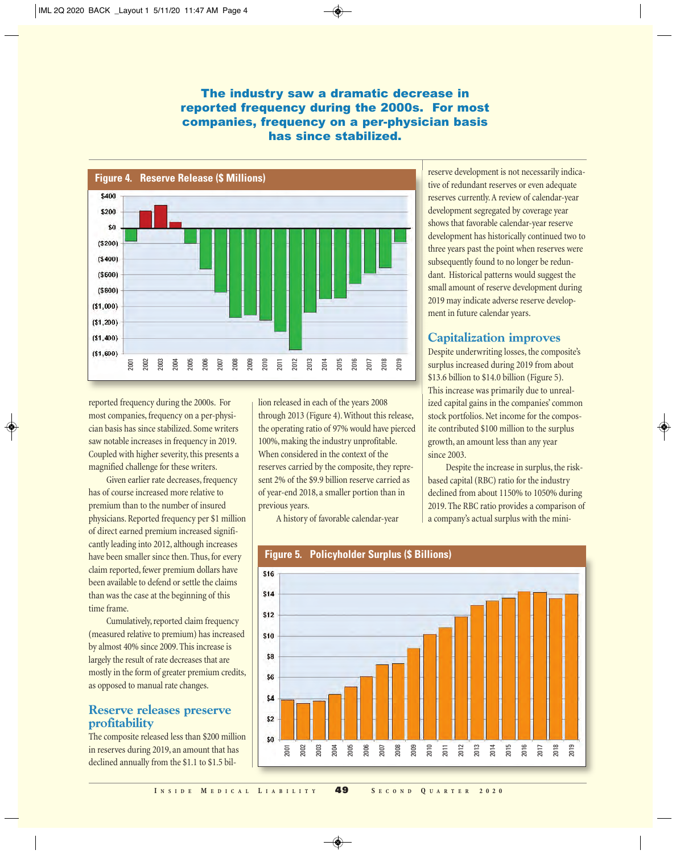## The industry saw a dramatic decrease in reported frequency during the 2000s. For most companies, frequency on a per-physician basis has since stabilized.



reported frequency during the 2000s. For most companies, frequency on a per-physician basis has since stabilized. Some writers saw notable increases in frequency in 2019. Coupled with higher severity, this presents a magnified challenge for these writers.

Given earlier rate decreases, frequency has of course increased more relative to premium than to the number of insured physicians. Reported frequency per \$1 million of direct earned premium increased significantly leading into 2012, although increases have been smaller since then. Thus, for every claim reported, fewer premium dollars have been available to defend or settle the claims than was the case at the beginning of this time frame.

Cumulatively, reported claim frequency (measured relative to premium) has increased by almost 40% since 2009. This increase is largely the result of rate decreases that are mostly in the form of greater premium credits, as opposed to manual rate changes.

#### **Reserve releases preserve profitability**

The composite released less than \$200 million in reserves during 2019, an amount that has declined annually from the \$1.1 to \$1.5 billion released in each of the years 2008 through 2013 (Figure 4). Without this release, the operating ratio of 97% would have pierced 100%, making the industry unprofitable. When considered in the context of the reserves carried by the composite, they represent 2% of the \$9.9 billion reserve carried as of year-end 2018, a smaller portion than in previous years.

A history of favorable calendar-year

reserve development is not necessarily indicative of redundant reserves or even adequate reserves currently. A review of calendar-year development segregated by coverage year shows that favorable calendar-year reserve development has historically continued two to three years past the point when reserves were subsequently found to no longer be redundant. Historical patterns would suggest the small amount of reserve development during 2019 may indicate adverse reserve development in future calendar years.

# **Capitalization improves**

Despite underwriting losses, the composite's surplus increased during 2019 from about \$13.6 billion to \$14.0 billion (Figure 5). This increase was primarily due to unrealized capital gains in the companies' common stock portfolios. Net income for the composite contributed \$100 million to the surplus growth, an amount less than any year since 2003.

Despite the increase in surplus, the riskbased capital (RBC) ratio for the industry declined from about 1150% to 1050% during 2019. The RBC ratio provides a comparison of a company's actual surplus with the mini-



## **Figure 5. Policyholder Surplus (\$ Billions)**